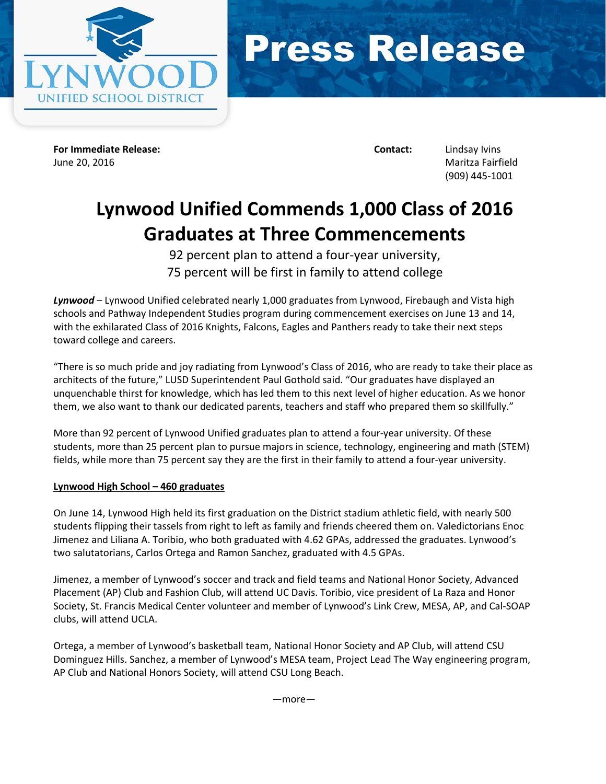



**For Immediate Release: Contact:** Lindsay Ivins June 20, 2016 Maritza Fairfield

(909) 445-1001

# **Lynwood Unified Commends 1,000 Class of 2016 Graduates at Three Commencements**

92 percent plan to attend a four-year university, 75 percent will be first in family to attend college

*Lynwood* – Lynwood Unified celebrated nearly 1,000 graduates from Lynwood, Firebaugh and Vista high schools and Pathway Independent Studies program during commencement exercises on June 13 and 14, with the exhilarated Class of 2016 Knights, Falcons, Eagles and Panthers ready to take their next steps toward college and careers.

"There is so much pride and joy radiating from Lynwood's Class of 2016, who are ready to take their place as architects of the future," LUSD Superintendent Paul Gothold said. "Our graduates have displayed an unquenchable thirst for knowledge, which has led them to this next level of higher education. As we honor them, we also want to thank our dedicated parents, teachers and staff who prepared them so skillfully."

More than 92 percent of Lynwood Unified graduates plan to attend a four-year university. Of these students, more than 25 percent plan to pursue majors in science, technology, engineering and math (STEM) fields, while more than 75 percent say they are the first in their family to attend a four-year university.

## **Lynwood High School – 460 graduates**

On June 14, Lynwood High held its first graduation on the District stadium athletic field, with nearly 500 students flipping their tassels from right to left as family and friends cheered them on. Valedictorians Enoc Jimenez and Liliana A. Toribio, who both graduated with 4.62 GPAs, addressed the graduates. Lynwood's two salutatorians, Carlos Ortega and Ramon Sanchez, graduated with 4.5 GPAs.

Jimenez, a member of Lynwood's soccer and track and field teams and National Honor Society, Advanced Placement (AP) Club and Fashion Club, will attend UC Davis. Toribio, vice president of La Raza and Honor Society, St. Francis Medical Center volunteer and member of Lynwood's Link Crew, MESA, AP, and Cal-SOAP clubs, will attend UCLA.

Ortega, a member of Lynwood's basketball team, National Honor Society and AP Club, will attend CSU Dominguez Hills. Sanchez, a member of Lynwood's MESA team, Project Lead The Way engineering program, AP Club and National Honors Society, will attend CSU Long Beach.

—more—